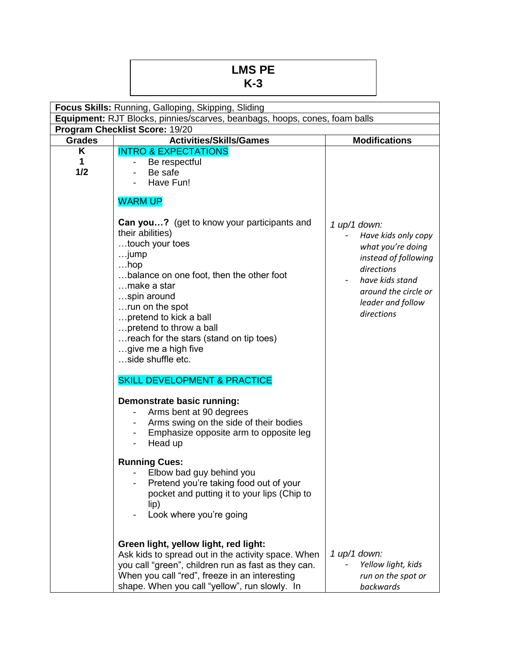## **LMS PE K-3**

| Focus Skills: Running, Galloping, Skipping, Sliding                        |                                                                                                                                                                                                                                                                                                                                               |                                                                                                                                                                                |  |  |  |  |
|----------------------------------------------------------------------------|-----------------------------------------------------------------------------------------------------------------------------------------------------------------------------------------------------------------------------------------------------------------------------------------------------------------------------------------------|--------------------------------------------------------------------------------------------------------------------------------------------------------------------------------|--|--|--|--|
| Equipment: RJT Blocks, pinnies/scarves, beanbags, hoops, cones, foam balls |                                                                                                                                                                                                                                                                                                                                               |                                                                                                                                                                                |  |  |  |  |
| Program Checklist Score: 19/20                                             |                                                                                                                                                                                                                                                                                                                                               |                                                                                                                                                                                |  |  |  |  |
| <b>Grades</b>                                                              | <b>Activities/Skills/Games</b>                                                                                                                                                                                                                                                                                                                | <b>Modifications</b>                                                                                                                                                           |  |  |  |  |
| Κ<br>1<br>1/2                                                              | <b>INTRO &amp; EXPECTATIONS</b><br>Be respectful<br>Be safe<br>Have Fun!<br>۰                                                                                                                                                                                                                                                                 |                                                                                                                                                                                |  |  |  |  |
|                                                                            | <b>WARM UP</b>                                                                                                                                                                                                                                                                                                                                |                                                                                                                                                                                |  |  |  |  |
|                                                                            | Can you? (get to know your participants and<br>their abilities)<br>touch your toes<br>jump<br>$$ hop<br>balance on one foot, then the other foot<br>make a star<br>spin around<br>run on the spot<br>pretend to kick a ball<br>pretend to throw a ball<br>reach for the stars (stand on tip toes)<br>give me a high five<br>side shuffle etc. | $1$ up/1 down:<br>Have kids only copy<br>what you're doing<br>instead of following<br>directions<br>have kids stand<br>around the circle or<br>leader and follow<br>directions |  |  |  |  |
|                                                                            | <b>SKILL DEVELOPMENT &amp; PRACTICE</b>                                                                                                                                                                                                                                                                                                       |                                                                                                                                                                                |  |  |  |  |
|                                                                            | Demonstrate basic running:<br>Arms bent at 90 degrees<br>Arms swing on the side of their bodies<br>Emphasize opposite arm to opposite leg<br>Head up                                                                                                                                                                                          |                                                                                                                                                                                |  |  |  |  |
|                                                                            | <b>Running Cues:</b><br>- Elbow bad guy behind you<br>Pretend you're taking food out of your<br>pocket and putting it to your lips (Chip to<br>lip)<br>Look where you're going                                                                                                                                                                |                                                                                                                                                                                |  |  |  |  |
|                                                                            | Green light, yellow light, red light:<br>Ask kids to spread out in the activity space. When<br>you call "green", children run as fast as they can.<br>When you call "red", freeze in an interesting<br>shape. When you call "yellow", run slowly. In                                                                                          | 1 up/1 down:<br>Yellow light, kids<br>run on the spot or<br>backwards                                                                                                          |  |  |  |  |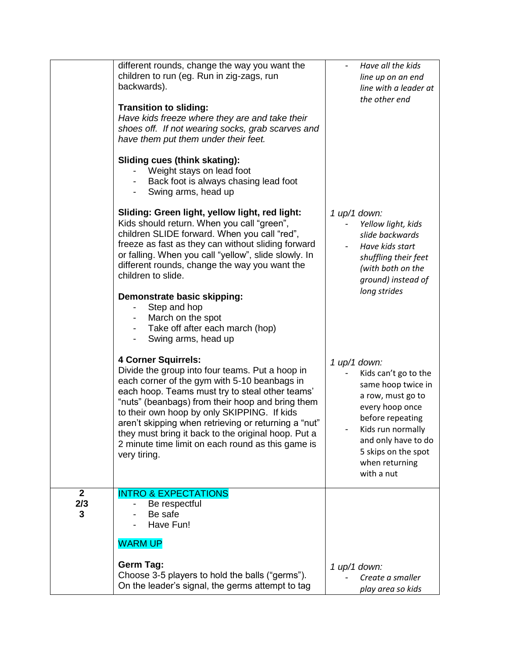|                          | different rounds, change the way you want the<br>children to run (eg. Run in zig-zags, run<br>backwards).<br><b>Transition to sliding:</b><br>Have kids freeze where they are and take their<br>shoes off. If not wearing socks, grab scarves and<br>have them put them under their feet.<br>Sliding cues (think skating):<br>Weight stays on lead foot<br>Back foot is always chasing lead foot<br>Swing arms, head up<br>Sliding: Green light, yellow light, red light: | Have all the kids<br>line up on an end<br>line with a leader at<br>the other end                                                                                                                                            |
|--------------------------|---------------------------------------------------------------------------------------------------------------------------------------------------------------------------------------------------------------------------------------------------------------------------------------------------------------------------------------------------------------------------------------------------------------------------------------------------------------------------|-----------------------------------------------------------------------------------------------------------------------------------------------------------------------------------------------------------------------------|
|                          | Kids should return. When you call "green",<br>children SLIDE forward. When you call "red",<br>freeze as fast as they can without sliding forward<br>or falling. When you call "yellow", slide slowly. In<br>different rounds, change the way you want the<br>children to slide.<br>Demonstrate basic skipping:<br>Step and hop<br>March on the spot<br>Take off after each march (hop)<br>Swing arms, head up                                                             | $1$ up/1 down:<br>Yellow light, kids<br>slide backwards<br>Have kids start<br>shuffling their feet<br>(with both on the<br>ground) instead of<br>long strides                                                               |
|                          | <b>4 Corner Squirrels:</b><br>Divide the group into four teams. Put a hoop in<br>each corner of the gym with 5-10 beanbags in<br>each hoop. Teams must try to steal other teams'<br>"nuts" (beanbags) from their hoop and bring them<br>to their own hoop by only SKIPPING. If kids<br>aren't skipping when retrieving or returning a "nut"<br>they must bring it back to the original hoop. Put a<br>2 minute time limit on each round as this game is<br>very tiring.   | $1$ up/1 down:<br>Kids can't go to the<br>same hoop twice in<br>a row, must go to<br>every hoop once<br>before repeating<br>Kids run normally<br>and only have to do<br>5 skips on the spot<br>when returning<br>with a nut |
| $\mathbf{2}$<br>2/3<br>3 | <b>INTRO &amp; EXPECTATIONS</b><br>Be respectful<br>Be safe<br>Have Fun!<br><b>WARM UP</b><br><b>Germ Tag:</b><br>Choose 3-5 players to hold the balls ("germs").<br>On the leader's signal, the germs attempt to tag                                                                                                                                                                                                                                                     | $1$ up/1 down:<br>Create a smaller                                                                                                                                                                                          |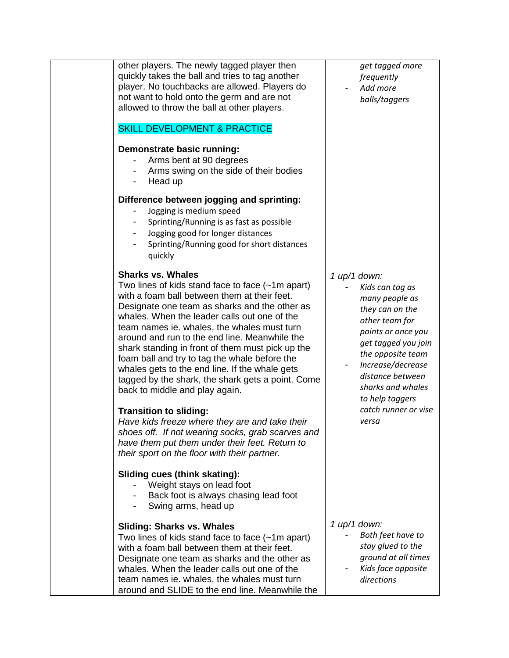| other players. The newly tagged player then<br>quickly takes the ball and tries to tag another<br>player. No touchbacks are allowed. Players do<br>not want to hold onto the germ and are not<br>allowed to throw the ball at other players.<br><b>SKILL DEVELOPMENT &amp; PRACTICE</b><br>Demonstrate basic running:<br>Arms bent at 90 degrees<br>Arms swing on the side of their bodies<br>Head up                                                                                                                                                                                                                                                                                                                                                                                                                                                                                                                                                 | get tagged more<br>frequently<br>Add more<br>balls/taggers                                                                                                                                                                                                                   |
|-------------------------------------------------------------------------------------------------------------------------------------------------------------------------------------------------------------------------------------------------------------------------------------------------------------------------------------------------------------------------------------------------------------------------------------------------------------------------------------------------------------------------------------------------------------------------------------------------------------------------------------------------------------------------------------------------------------------------------------------------------------------------------------------------------------------------------------------------------------------------------------------------------------------------------------------------------|------------------------------------------------------------------------------------------------------------------------------------------------------------------------------------------------------------------------------------------------------------------------------|
| Difference between jogging and sprinting:<br>Jogging is medium speed<br>Sprinting/Running is as fast as possible<br>Jogging good for longer distances<br>Sprinting/Running good for short distances<br>quickly                                                                                                                                                                                                                                                                                                                                                                                                                                                                                                                                                                                                                                                                                                                                        |                                                                                                                                                                                                                                                                              |
| <b>Sharks vs. Whales</b><br>Two lines of kids stand face to face $(-1m$ apart)<br>with a foam ball between them at their feet.<br>Designate one team as sharks and the other as<br>whales. When the leader calls out one of the<br>team names ie. whales, the whales must turn<br>around and run to the end line. Meanwhile the<br>shark standing in front of them must pick up the<br>foam ball and try to tag the whale before the<br>whales gets to the end line. If the whale gets<br>tagged by the shark, the shark gets a point. Come<br>back to middle and play again.<br><b>Transition to sliding:</b><br>Have kids freeze where they are and take their<br>shoes off. If not wearing socks, grab scarves and<br>have them put them under their feet. Return to<br>their sport on the floor with their partner.<br>Sliding cues (think skating):<br>Weight stays on lead foot<br>Back foot is always chasing lead foot<br>Swing arms, head up | $1$ up/1 down:<br>Kids can tag as<br>many people as<br>they can on the<br>other team for<br>points or once you<br>get tagged you join<br>the opposite team<br>Increase/decrease<br>distance between<br>sharks and whales<br>to help taggers<br>catch runner or vise<br>versa |
| <b>Sliding: Sharks vs. Whales</b><br>Two lines of kids stand face to face $(-1m$ apart)<br>with a foam ball between them at their feet.<br>Designate one team as sharks and the other as<br>whales. When the leader calls out one of the<br>team names ie. whales, the whales must turn<br>around and SLIDE to the end line. Meanwhile the                                                                                                                                                                                                                                                                                                                                                                                                                                                                                                                                                                                                            | $1$ up/1 down:<br>Both feet have to<br>stay glued to the<br>ground at all times<br>Kids face opposite<br>directions                                                                                                                                                          |